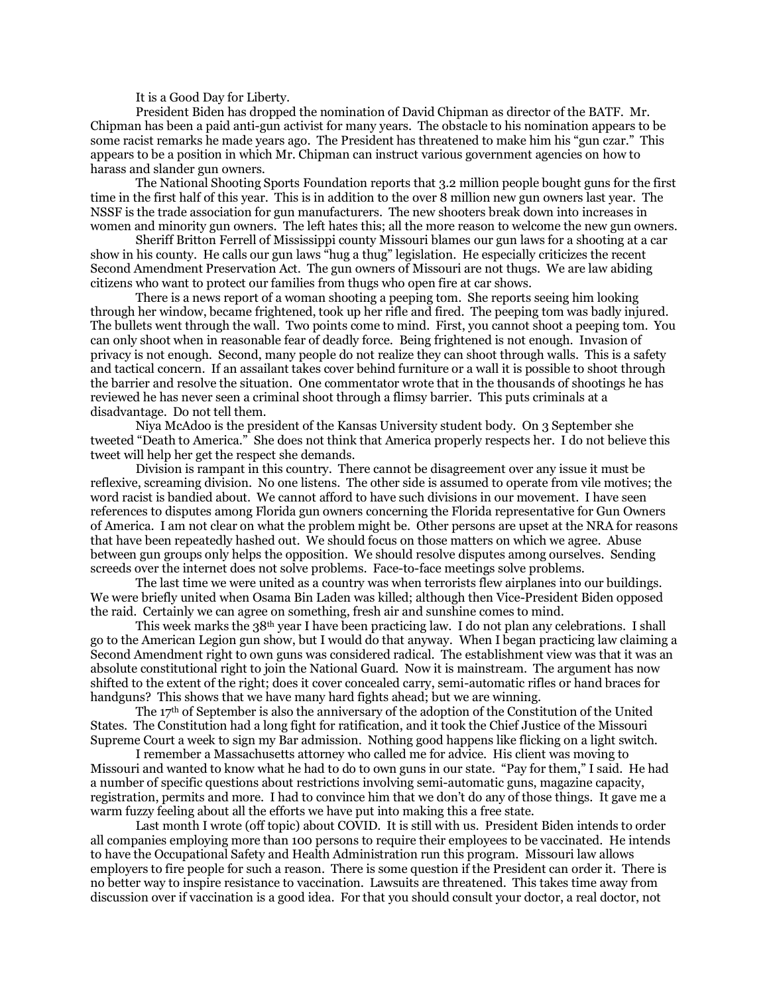It is a Good Day for Liberty.

President Biden has dropped the nomination of David Chipman as director of the BATF. Mr. Chipman has been a paid anti-gun activist for many years. The obstacle to his nomination appears to be some racist remarks he made years ago. The President has threatened to make him his "gun czar." This appears to be a position in which Mr. Chipman can instruct various government agencies on how to harass and slander gun owners.

The National Shooting Sports Foundation reports that 3.2 million people bought guns for the first time in the first half of this year. This is in addition to the over 8 million new gun owners last year. The NSSF is the trade association for gun manufacturers. The new shooters break down into increases in women and minority gun owners. The left hates this; all the more reason to welcome the new gun owners.

Sheriff Britton Ferrell of Mississippi county Missouri blames our gun laws for a shooting at a car show in his county. He calls our gun laws "hug a thug" legislation. He especially criticizes the recent Second Amendment Preservation Act. The gun owners of Missouri are not thugs. We are law abiding citizens who want to protect our families from thugs who open fire at car shows.

There is a news report of a woman shooting a peeping tom. She reports seeing him looking through her window, became frightened, took up her rifle and fired. The peeping tom was badly injured. The bullets went through the wall. Two points come to mind. First, you cannot shoot a peeping tom. You can only shoot when in reasonable fear of deadly force. Being frightened is not enough. Invasion of privacy is not enough. Second, many people do not realize they can shoot through walls. This is a safety and tactical concern. If an assailant takes cover behind furniture or a wall it is possible to shoot through the barrier and resolve the situation. One commentator wrote that in the thousands of shootings he has reviewed he has never seen a criminal shoot through a flimsy barrier. This puts criminals at a disadvantage. Do not tell them.

Niya McAdoo is the president of the Kansas University student body. On 3 September she tweeted "Death to America." She does not think that America properly respects her. I do not believe this tweet will help her get the respect she demands.

Division is rampant in this country. There cannot be disagreement over any issue it must be reflexive, screaming division. No one listens. The other side is assumed to operate from vile motives; the word racist is bandied about. We cannot afford to have such divisions in our movement. I have seen references to disputes among Florida gun owners concerning the Florida representative for Gun Owners of America. I am not clear on what the problem might be. Other persons are upset at the NRA for reasons that have been repeatedly hashed out. We should focus on those matters on which we agree. Abuse between gun groups only helps the opposition. We should resolve disputes among ourselves. Sending screeds over the internet does not solve problems. Face-to-face meetings solve problems.

The last time we were united as a country was when terrorists flew airplanes into our buildings. We were briefly united when Osama Bin Laden was killed; although then Vice-President Biden opposed the raid. Certainly we can agree on something, fresh air and sunshine comes to mind.

This week marks the  $38<sup>th</sup>$  year I have been practicing law. I do not plan any celebrations. I shall go to the American Legion gun show, but I would do that anyway. When I began practicing law claiming a Second Amendment right to own guns was considered radical. The establishment view was that it was an absolute constitutional right to join the National Guard. Now it is mainstream. The argument has now shifted to the extent of the right; does it cover concealed carry, semi-automatic rifles or hand braces for handguns? This shows that we have many hard fights ahead; but we are winning.

The 17th of September is also the anniversary of the adoption of the Constitution of the United States. The Constitution had a long fight for ratification, and it took the Chief Justice of the Missouri Supreme Court a week to sign my Bar admission. Nothing good happens like flicking on a light switch.

I remember a Massachusetts attorney who called me for advice. His client was moving to Missouri and wanted to know what he had to do to own guns in our state. "Pay for them," I said. He had a number of specific questions about restrictions involving semi-automatic guns, magazine capacity, registration, permits and more. I had to convince him that we don't do any of those things. It gave me a warm fuzzy feeling about all the efforts we have put into making this a free state.

Last month I wrote (off topic) about COVID. It is still with us. President Biden intends to order all companies employing more than 100 persons to require their employees to be vaccinated. He intends to have the Occupational Safety and Health Administration run this program. Missouri law allows employers to fire people for such a reason. There is some question if the President can order it. There is no better way to inspire resistance to vaccination. Lawsuits are threatened. This takes time away from discussion over if vaccination is a good idea. For that you should consult your doctor, a real doctor, not